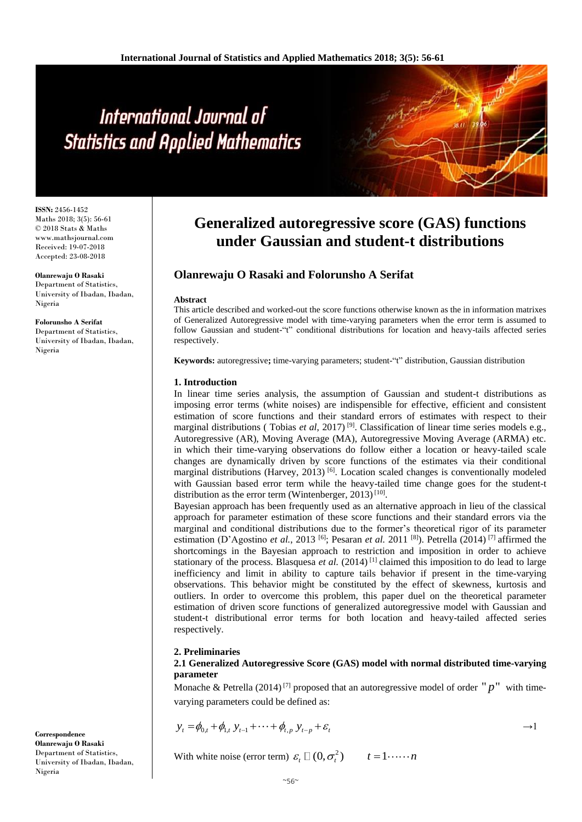# International Journal of **Statistics and Applied Mathematics**

**ISSN:** 2456-1452 Maths 2018; 3(5): 56-61 © 2018 Stats & Maths www.mathsjournal.com Received: 19-07-2018 Accepted: 23-08-2018

**Olanrewaju O Rasaki** Department of Statistics, University of Ibadan, Ibadan, Nigeria

**Folorunsho A Serifat**  Department of Statistics, University of Ibadan, Ibadan, Nigeria

# **Generalized autoregressive score (GAS) functions under Gaussian and student-t distributions**

### **Olanrewaju O Rasaki and Folorunsho A Serifat**

#### **Abstract**

This article described and worked-out the score functions otherwise known as the in information matrixes of Generalized Autoregressive model with time-varying parameters when the error term is assumed to follow Gaussian and student-"t" conditional distributions for location and heavy-tails affected series respectively.

**Keywords:** autoregressive**;** time-varying parameters; student-"t" distribution, Gaussian distribution

#### **1. Introduction**

In linear time series analysis, the assumption of Gaussian and student-t distributions as imposing error terms (white noises) are indispensible for effective, efficient and consistent estimation of score functions and their standard errors of estimates with respect to their marginal distributions ( Tobias *et al*, 2017) [9]. Classification of linear time series models e.g., Autoregressive (AR), Moving Average (MA), Autoregressive Moving Average (ARMA) etc. in which their time-varying observations do follow either a location or heavy-tailed scale changes are dynamically driven by score functions of the estimates via their conditional marginal distributions (Harvey, 2013)<sup>[6]</sup>. Location scaled changes is conventionally modeled with Gaussian based error term while the heavy-tailed time change goes for the student-t distribution as the error term (Wintenberger, 2013)<sup>[10]</sup>.

Bayesian approach has been frequently used as an alternative approach in lieu of the classical approach for parameter estimation of these score functions and their standard errors via the marginal and conditional distributions due to the former's theoretical rigor of its parameter estimation (D'Agostino *et al.*, 2013 [6]; Pesaran *et al.* 2011 [8]). Petrella (2014) [7] affirmed the shortcomings in the Bayesian approach to restriction and imposition in order to achieve stationary of the process. Blasquesa *et al.* (2014)<sup>[1]</sup> claimed this imposition to do lead to large inefficiency and limit in ability to capture tails behavior if present in the time-varying observations. This behavior might be constituted by the effect of skewness, kurtosis and outliers. In order to overcome this problem, this paper duel on the theoretical parameter estimation of driven score functions of generalized autoregressive model with Gaussian and student-t distributional error terms for both location and heavy-tailed affected series respectively.

#### **2. Preliminaries**

**2.1 Generalized Autoregressive Score (GAS) model with normal distributed time-varying parameter**

Monache & Petrella  $(2014)^{7}$  proposed that an autoregressive model of order " $p$ " with timevarying parameters could be defined as:

$$
y_{t} = \phi_{0,t} + \phi_{1,t} y_{t-1} + \dots + \phi_{t,p} y_{t-p} + \varepsilon_{t}
$$

With white noise (error term)  $\varepsilon_t \Box (0, \sigma_t^2)$   $t = 1 \cdots \cdots n$ 

**Correspondence Olanrewaju O Rasaki** Department of Statistics, University of Ibadan, Ibadan, Nigeria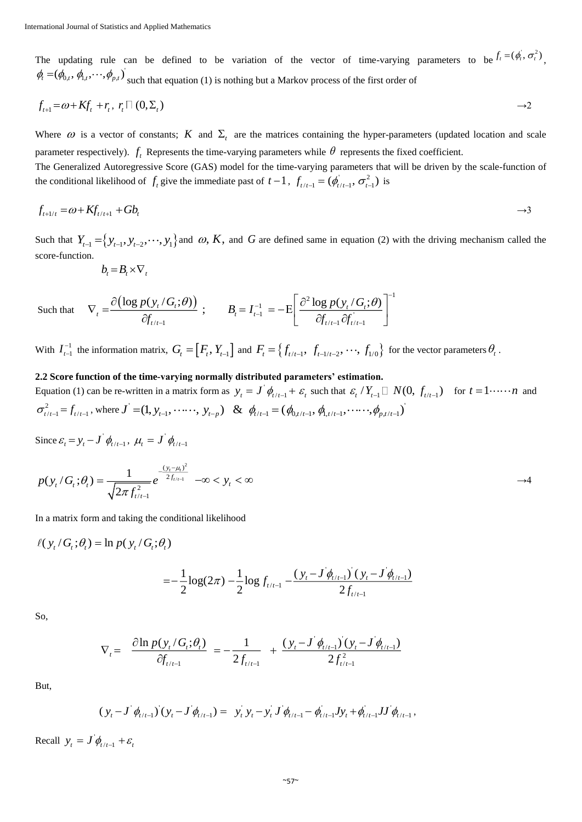The updating rule can be defined to be variation of the vector of time-varying parameters to be  $f_t = (\phi_t^i, \sigma_t^2)$ ,  $\phi_t = (\phi_{0,t}, \phi_{1,t}, \cdots, \phi_{p,t})$  such that equation (1) is nothing but a Markov process of the first order of

$$
f_{t+1} = \omega + Kf_t + r_t, r_t \square (0, \Sigma_t) \longrightarrow 2
$$

Where  $\omega$  is a vector of constants; K and  $\Sigma_t$  are the matrices containing the hyper-parameters (updated location and scale parameter respectively).  $f_t$  Represents the time-varying parameters while  $\theta$  represents the fixed coefficient. The Generalized Autoregressive Score (GAS) model for the time-varying parameters that will be driven by the scale-function of the conditional likelihood of  $f_t$  give the immediate past of  $t-1$ ,  $f_{t/t-1} = (\phi_{t/t-1}^i, \sigma_{t-1}^2)$  is

$$
f_{t+1/t} = \omega + K f_{t/t+1} + G b_t \qquad \qquad \rightarrow 3
$$

Such that  $Y_{t-1} = \{y_{t-1}, y_{t-2}, \dots, y_1\}$  and  $\omega$ , K, and G are defined same in equation (2) with the driving mechanism called the score-function.

$$
b_t = B_t \times \nabla_t
$$

Such that 
$$
\nabla_t = \frac{\partial (\log p(y_t/G_t;\theta))}{\partial f_{t/t-1}}; \qquad B_t = I_{t-1}^{-1} = -E \left[ \frac{\partial^2 \log p(y_t/G_t;\theta)}{\partial f_{t/t-1} \partial f_{t/t-1}} \right]^{-1}
$$

With  $I_{t-1}^{-1}$  $I_{t-1}^{-1}$  the information matrix,  $G_t = [F_t, Y_{t-1}]$  and  $F_t = \{f_{t/t-1}, f_{t-1/t-2}, \dots, f_{1/0}\}$  for the vector parameters  $\theta_t$ .

#### **2.2 Score function of the time-varying normally distributed parameters' estimation.**

Equation (1) can be re-written in a matrix form as  $y_t = J' \phi_{t/t-1} + \varepsilon_t$  such that  $\varepsilon_t / Y_{t-1} \Box N(0, f_{t/t-1})$  for  $t = 1 \cdots n$  and  $\sigma_{t/t-1}^2 = f_{t/t-1}$ , where  $J = (1, y_{t-1}, \dots, y_{t-p})$  &  $\phi_{t/t-1} = (\phi_{0,t/t-1}, \phi_{1,t/t-1}, \dots, \phi_{p,t/t-1})$ 

Since  $\varepsilon_t = y_t - J \phi_{t/t-1}$ ,  $\mu_t = J \phi_{t/t-1}$ 

$$
p(y_t/G_t; \theta_t) = \frac{1}{\sqrt{2\pi f_{t/t-1}^2}} e^{-\frac{(y_t - \mu_t)^2}{2f_{t/t-1}}} -\infty < y_t < \infty
$$

In a matrix form and taking the conditional likelihood

$$
\ell(y_t/G_t; \theta_t) = \ln p(y_t/G_t; \theta_t)
$$

$$
=-\frac{1}{2}\log(2\pi)-\frac{1}{2}\log f_{t/t-1}-\frac{(y_t-J\dot{\phi}_{t/t-1})(y_t-J\dot{\phi}_{t/t-1})}{2f_{t/t-1}}
$$

So,

$$
\nabla_{t} = \frac{\partial \ln p(y_t / G_t; \theta_t)}{\partial f_{t/t-1}} = -\frac{1}{2f_{t/t-1}} + \frac{(y_t - J \phi_{t/t-1})(y_t - J \phi_{t/t-1})}{2f_{t/t-1}^2}
$$

But,

$$
(y_t - J \phi_{t/t-1})(y_t - J \phi_{t/t-1}) = y_t y_t - y_t J \phi_{t/t-1} - \phi_{t/t-1} J y_t + \phi_{t/t-1} J J \phi_{t/t-1},
$$

Recall  $y_t = J \phi_{t/t-1} + \varepsilon_t$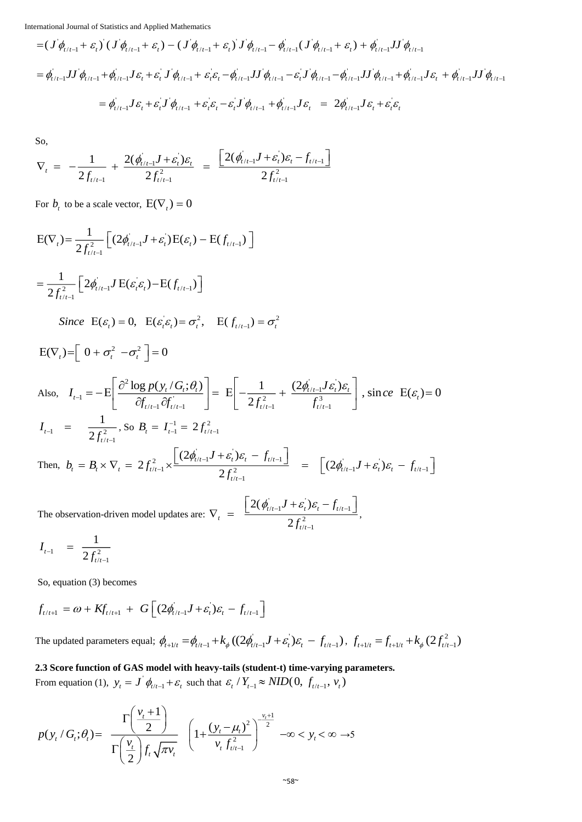International Journal of Statistics and Applied Mathematics

$$
= (J \phi_{t/t-1} + \varepsilon_{t}) (J \phi_{t/t-1} + \varepsilon_{t}) - (J \phi_{t/t-1} + \varepsilon_{t}) J \phi_{t/t-1} - \phi_{t/t-1} (J \phi_{t/t-1} + \varepsilon_{t}) + \phi_{t/t-1} JJ \phi_{t/t-1}
$$
  
\n
$$
= \phi_{t/t-1} J J \phi_{t/t-1} + \phi_{t/t-1} J \varepsilon_{t} + \varepsilon_{t} J \phi_{t/t-1} + \varepsilon_{t} \varepsilon_{t} - \phi_{t/t-1} JJ \phi_{t/t-1} - \varepsilon_{t} J \phi_{t/t-1} - \phi_{t/t-1} JJ \phi_{t/t-1} + \phi_{t/t-1} J \varepsilon_{t} + \phi_{t/t-1} JJ \phi_{t/t-1}
$$
  
\n
$$
= \phi_{t/t-1} J \varepsilon_{t} + \varepsilon_{t} J \phi_{t/t-1} + \varepsilon_{t} \varepsilon_{t} - \varepsilon_{t} J \phi_{t/t-1} + \phi_{t/t-1} J \varepsilon_{t} = 2 \phi_{t/t-1} J \varepsilon_{t} + \varepsilon_{t} \varepsilon_{t}
$$

So,

$$
\nabla_{t} = -\frac{1}{2f_{t/t-1}} + \frac{2(\phi_{t/t-1}^{'}J + \varepsilon_{t}^{'} )\varepsilon_{t}}{2f_{t/t-1}^{2}} = \frac{\left[2(\phi_{t/t-1}^{'}J + \varepsilon_{t}^{'} )\varepsilon_{t} - f_{t/t-1}^{2}\right]}{2f_{t/t-1}^{2}}
$$

For  $b_t$  to be a scale vector,  $E(\nabla_t) = 0$ 

$$
E(\nabla_{i}) = \frac{1}{2f_{i/t-1}^{2}} \left[ (2\phi_{i/t-1}^{2}J + \varepsilon_{i}^{2})E(\varepsilon_{i}) - E(f_{i/t-1}) \right]
$$
\n
$$
= \frac{1}{2f_{i/t-1}^{2}} \left[ 2\phi_{i/t-1}^{2}J E(\varepsilon_{i}\varepsilon_{i}) - E(f_{i/t-1}) \right]
$$
\nSince  $E(\varepsilon_{i}) = 0$ ,  $E(\varepsilon_{i}\varepsilon_{i}) = \sigma_{i}^{2}$ ,  $E(f_{i/t-1}) = \sigma_{i}^{2}$   
\n
$$
E(\nabla_{i}) = \left[ 0 + \sigma_{i}^{2} - \sigma_{i}^{2} \right] = 0
$$
\nAlso,  $I_{t-1} = -E \left[ \frac{\partial^{2} \log p(y_{t}/G_{i}; \theta_{t})}{\partial f_{t/t-1} \partial f_{t/t-1}} \right] = E \left[ -\frac{1}{2f_{t/t-1}^{2}} + \frac{(2\phi_{i/t-1}^{2}J\varepsilon_{i})\varepsilon_{t}}{f_{t/t-1}^{3}} \right]$ , since  $E(\varepsilon_{i}) = 0$   
\n $I_{t-1} = \frac{1}{2f_{t/t-1}^{2}}$ , so  $B_{t} = I_{t-1}^{-1} = 2f_{t/t-1}^{2}$   
\nThen,  $b_{t} = B_{t} \times \nabla_{t} = 2f_{t/t-1}^{2} \times \frac{\left[ (2\phi_{i/t-1}^{2}J + \varepsilon_{i})\varepsilon_{t} - f_{t/t-1} \right]}{2f_{t/t-1}^{2}} = \left[ (2\phi_{i/t-1}^{2}J + \varepsilon_{t}^{2})\varepsilon_{t} - f_{t/t-1} \right]$ \nThe observation-driven model updates are:  $\nabla_{t} = \frac{\left[ 2(\phi_{i/t-1}^{2}J + \varepsilon_{t}^{2})\varepsilon_{t} - f_{t/t-1} \right]}{2f_{t/t-1}^{2}}$ ,

$$
I_{t-1} = \frac{1}{2f_{t/t-1}^2}
$$

So, equation (3) becomes

$$
f_{t/t+1} = \omega + K f_{t/t+1} + G \left[ (2\phi_{t/t-1}^{'} J + \varepsilon_t^{'} ) \varepsilon_t - f_{t/t-1} \right]
$$

The updated parameters equal;  $\phi_{t+l/t} = \phi_{t/t-1} + k_{\phi} ((2\phi_{t/t-1}^{'} J + \varepsilon_t^{'} ) \varepsilon_t^{} - f_{t/t-1}^{})$ ,  $f_{t+l/t} = f_{t+l/t} + k_{\phi} (2f_{t/t-1}^2)$ 

## **2.3 Score function of GAS model with heavy-tails (student-t) time-varying parameters.**

From equation (1),  $y_t = J \phi_{t/t-1} + \varepsilon_t$  such that  $\varepsilon_t / Y_{t-1} \approx NID(0, f_{t/t-1}, v_t)$ 

$$
p(y_t/G_t; \theta_t) = \frac{\Gamma\left(\frac{v_t + 1}{2}\right)}{\Gamma\left(\frac{v_t}{2}\right) f_t \sqrt{\pi v_t}} \left(1 + \frac{(y_t - \mu_t)^2}{v_t f_{t/t-1}^2}\right)^{-\frac{v_t + 1}{2}} -\infty < y_t < \infty \to 5
$$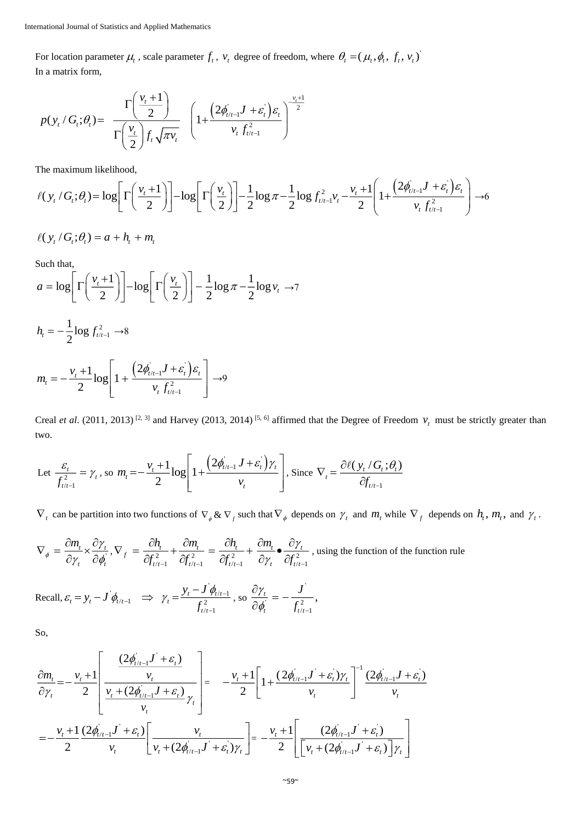For location parameter  $\mu_t$ , scale parameter  $f_t$ ,  $v_t$  degree of freedom, where  $\theta_t = (\mu_t, \phi_t, f_t, v_t)$ In a matrix form,

$$
p(y_t/G_t;\theta_t) = \frac{\Gamma\left(\frac{v_t+1}{2}\right)}{\Gamma\left(\frac{v_t}{2}\right)f_t\sqrt{\pi v_t}} \left(1+\frac{\left(2\phi_{t/t-1}'J+\varepsilon_t^{'}\right)\varepsilon_t}{v_t f_{t/t-1}^2}\right)^{-\frac{v_t+1}{2}}
$$

The maximum likelihood,

$$
\ell(y_t/G_t;\theta_t) = \log \left[ \Gamma \left( \frac{v_t+1}{2} \right) \right] - \log \left[ \Gamma \left( \frac{v_t}{2} \right) \right] - \frac{1}{2} \log \pi - \frac{1}{2} \log f_{t/t-1}^2 v_t - \frac{v_t+1}{2} \left( 1 + \frac{\left( 2\phi_{t/t-1}'J + \varepsilon_t \right)\varepsilon_t}{v_t f_{t/t-1}^2} \right) \to 6
$$

$$
\ell(y_t/G_t;\theta_t) = a + h_t + m_t
$$

Such that,

$$
a = \log \left[ \Gamma \left( \frac{v_t + 1}{2} \right) \right] - \log \left[ \Gamma \left( \frac{v_t}{2} \right) \right] - \frac{1}{2} \log \pi - \frac{1}{2} \log v_t \to 7
$$
  

$$
h_t = -\frac{1}{2} \log f_{t/t-1}^2 \to 8
$$
  

$$
m_t = -\frac{v_t + 1}{2} \log \left[ 1 + \frac{\left( 2\phi_{t/t-1}^{\dagger} J + \varepsilon_t^{\dagger} \right) \varepsilon_t}{v_t f_{t/t-1}^2} \right] \to 9
$$

Creal *et al.* (2011, 2013)<sup>[2, 3]</sup> and Harvey (2013, 2014)<sup>[5, 6]</sup> affirmed that the Degree of Freedom  $v_t$  must be strictly greater than two.

Let 
$$
\frac{\varepsilon_t}{f_{t/1-1}^2} = \gamma_t
$$
, so  $m_t = -\frac{v_t + 1}{2} \log \left[ 1 + \frac{\left( 2\phi_{t/1-1}' J + \varepsilon_t' \right) \gamma_t}{v_t} \right]$ , Since  $\nabla_t = \frac{\partial \ell \left( y_t / G_t; \theta_t \right)}{\partial f_{t/1-1}}$ 

 $\nabla_t$  can be partition into two functions of  $\nabla_{\phi}$  &  $\nabla_f$  such that  $\nabla_{\phi}$  depends on  $\gamma_t$  and  $m_t$  while  $\nabla_f$  depends on  $h_t$ ,  $m_t$ , and  $\gamma_t$ .

$$
\nabla_{\phi} = \frac{\partial m_{t}}{\partial \gamma_{t}} \times \frac{\partial \gamma_{t}}{\partial \phi_{t}}, \nabla_{f} = \frac{\partial h_{t}}{\partial f_{t/t-1}^{2}} + \frac{\partial m_{t}}{\partial f_{t/t-1}^{2}} = \frac{\partial h_{t}}{\partial f_{t/t-1}^{2}} + \frac{\partial m_{t}}{\partial \gamma_{t}} \bullet \frac{\partial \gamma_{t}}{\partial f_{t/t-1}^{2}}, \text{ using the function of the function rule}
$$

Recall, 
$$
\varepsilon_t = y_t - J' \phi_{t/t-1} \implies \gamma_t = \frac{y_t - J' \phi_{t/t-1}}{f_{t/t-1}^2}
$$
, so  $\frac{\partial \gamma_t}{\partial \phi_t} = -\frac{J'}{f_{t/t-1}^2}$ ,

So,

$$
\frac{\partial m_{t}}{\partial \gamma_{t}} = -\frac{v_{t} + 1}{2} \left[ \frac{\frac{(2\phi_{t/t-1}J^{'} + \varepsilon_{t})}{v_{t}}}{\frac{v_{t} + (2\phi_{t/t-1}J + \varepsilon_{t})}{v_{t}} \gamma_{t}} \right] = -\frac{v_{t} + 1}{2} \left[ 1 + \frac{(2\phi_{t/t-1}J^{'} + \varepsilon_{t})\gamma_{t}}{v_{t}} \right]^{-1} \frac{(2\phi_{t/t-1}J + \varepsilon_{t})}{v_{t}} \frac{(2\phi_{t/t-1}J^{'} + \varepsilon_{t})}{v_{t}} \gamma_{t}
$$
\n
$$
= -\frac{v_{t} + 1}{2} \frac{(2\phi_{t/t-1}J^{'} + \varepsilon_{t})}{v_{t}} \left[ \frac{v_{t}}{v_{t} + (2\phi_{t/t-1}J^{'} + \varepsilon_{t})\gamma_{t}} \right] = -\frac{v_{t} + 1}{2} \left[ \frac{(2\phi_{t/t-1}J^{'} + \varepsilon_{t})}{v_{t} + (2\phi_{t/t-1}J^{'} + \varepsilon_{t})} \right] \gamma_{t}
$$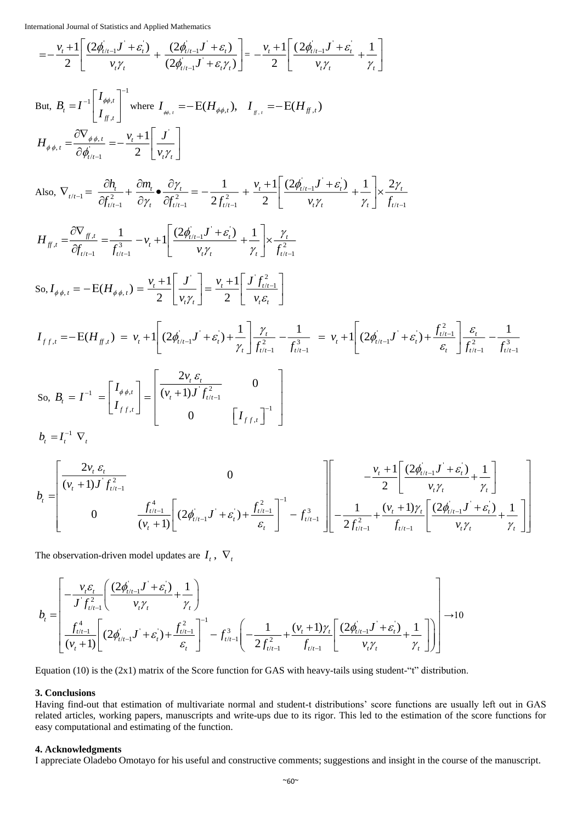International Journal of Statistics and Applied Mathematics  
\n
$$
= -\frac{v_t + 1}{2} \left[ \frac{(2\phi_{t/t-1}J' + \varepsilon_t^{'})}{v_t \gamma_t} + \frac{(2\phi_{t/t-1}J' + \varepsilon_t^{'})}{(2\phi_{t/t-1}J' + \varepsilon_t^{'})} \right] = -\frac{v_t + 1}{2} \left[ \frac{(2\phi_{t/t-1}J' + \varepsilon_t^{'})}{v_t \gamma_t} + \frac{1}{\gamma_t} \right]
$$

But, 
$$
B_t = I^{-1} \begin{bmatrix} I_{\phi\phi,t} \\ I_{f^t,t} \end{bmatrix}^{-1}
$$
 where  $I_{\phi\phi,t} = -E(H_{\phi\phi,t})$ ,  $I_{f^t,t} = -E(H_{f^t,t})$   
\n
$$
H_{\phi\phi,t} = \frac{\partial \nabla_{\phi\phi,t}}{\partial \phi_{t/t-1}} = -\frac{v_t + 1}{2} \begin{bmatrix} J \\ v_t \gamma_t \end{bmatrix}
$$
\nAlso,  $\nabla_{t/t-1} = \frac{\partial h_t}{\partial f_{t/t-1}^2} + \frac{\partial m_t}{\partial \gamma_t} \cdot \frac{\partial \gamma_t}{\partial f_{t/t-1}^2} = -\frac{1}{2f_{t/t-1}^2} + \frac{v_t + 1}{2} \begin{bmatrix} \frac{(2\phi_{t/t-1}^T J' + \varepsilon_t)}{V_t J'_{t}} + \frac{1}{\gamma_t} \end{bmatrix} \times \frac{2\gamma_t}{f_{t/t-1}}$ 

$$
H_{f,t} = \frac{\partial \nabla_{f,t}}{\partial f_{t/t-1}} = \frac{1}{f_{t/t-1}^3} - \nu_t + 1 \left[ \frac{(2\phi_{t/t-1}^j J' + \varepsilon_t^j)}{\nu_t \gamma_t} + \frac{1}{\gamma_t} \right] \times \frac{\gamma_t}{f_{t/t-1}^2}
$$
  
So,  $I_{\phi\phi,t} = -E(H_{\phi\phi,t}) = \frac{\nu_t + 1}{2} \left[ \frac{J'}{\nu_t \gamma_t} \right] = \frac{\nu_t + 1}{2} \left[ \frac{J' f_{t/t-1}^2}{\nu_t \varepsilon_t} \right]$ 

$$
I_{f f,t} = -E(H_{f f,t}) = v_t + 1 \left[ (2\phi_{t/t-1} \mathbf{J}^{\dagger} + \varepsilon_t) + \frac{1}{\gamma_t} \right] \frac{\gamma_t}{f_{t/t-1}^2} - \frac{1}{f_{t/t-1}^3} = v_t + 1 \left[ (2\phi_{t/t-1} \mathbf{J}^{\dagger} + \varepsilon_t) + \frac{f_{t/t-1}^2}{\varepsilon_t} \right] \frac{\varepsilon_t}{f_{t/t-1}^2} - \frac{1}{f_{t/t-1}^3}
$$
  
So,  $B_t = I^{-1} = \begin{bmatrix} I_{\phi \phi, t} \\ I_{f f,t} \end{bmatrix} = \begin{bmatrix} \frac{2v_t \varepsilon_t}{(v_t + 1) \mathbf{J}^{\dagger} f_{t/t-1}^2} & 0 \\ 0 & \begin{bmatrix} I_{f f,t} \end{bmatrix}^{-1} \end{bmatrix}$ 

 $b_{\iota} = I_{\iota}^{-1} \nabla_{\iota}$ 

$$
b_{t} = \begin{bmatrix} \frac{2v_{t} \varepsilon_{t}}{(v_{t} + 1)J^{'}f_{t/t-1}^{2}} & 0 & 0\\ 0 & \frac{f_{t/t-1}^{4}}{(v_{t} + 1)} \left[ (2\phi_{t/t-1}^{'}J^{'} + \varepsilon_{t}^{'} ) + \frac{f_{t/t-1}^{2}}{\varepsilon_{t}} \right]^{-1} - f_{t/t-1}^{3} & -\frac{1}{2f_{t/t-1}^{2}} + \frac{(v_{t} + 1)\gamma_{t}}{f_{t/t-1}} \left[ \frac{(2\phi_{t/t-1}^{'}J^{'} + \varepsilon_{t}^{'} )}{v_{t}\gamma_{t}} + \frac{1}{\gamma_{t}} \right] \end{bmatrix}
$$

The observation-driven model updates are  $I_t$ ,  $\nabla_t$ 

$$
b_{t} = \left[ \frac{-\frac{v_{t} \varepsilon_{t}}{J \int_{t/t-1}^{2}} \left( \frac{(2\phi_{t/t-1}J^{'} + \varepsilon_{t})}{v_{t}\gamma_{t}} + \frac{1}{\gamma_{t}} \right)}{\frac{f_{t/t-1}^{4}}{(v_{t}+1)} \left[ (2\phi_{t/t-1}J^{'} + \varepsilon_{t}) + \frac{f_{t/t-1}^{2}}{\varepsilon_{t}} \right]^{-1} - f_{t/t-1}^{3} \left( -\frac{1}{2f_{t/t-1}^{2}} + \frac{(v_{t}+1)\gamma_{t}}{f_{t/t-1}} \left[ \frac{(2\phi_{t/t-1}J^{'} + \varepsilon_{t})}{v_{t}\gamma_{t}} + \frac{1}{\gamma_{t}} \right] \right) \right] \rightarrow 10
$$

Equation (10) is the (2x1) matrix of the Score function for GAS with heavy-tails using student-"t" distribution.

#### **3. Conclusions**

Having find-out that estimation of multivariate normal and student-t distributions' score functions are usually left out in GAS related articles, working papers, manuscripts and write-ups due to its rigor. This led to the estimation of the score functions for easy computational and estimating of the function.

#### **4. Acknowledgments**

I appreciate Oladebo Omotayo for his useful and constructive comments; suggestions and insight in the course of the manuscript.